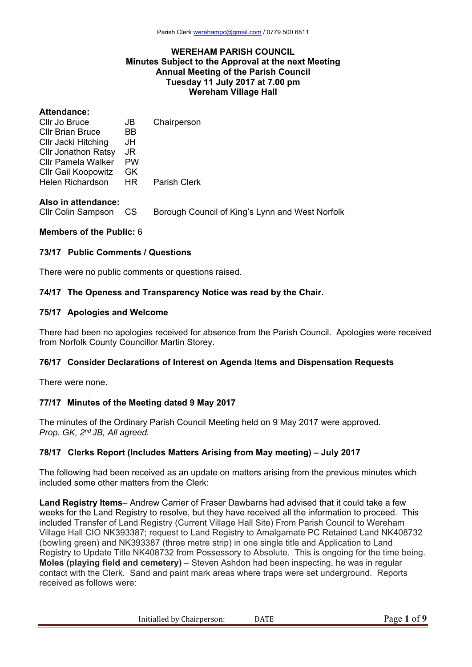#### **WEREHAM PARISH COUNCIL Minutes Subject to the Approval at the next Meeting Annual Meeting of the Parish Council Tuesday 11 July 2017 at 7.00 pm Wereham Village Hall**

| <b>Attendance:</b>         |      |                     |
|----------------------------|------|---------------------|
| Cllr Jo Bruce              | JB.  | Chairperson         |
| Cllr Brian Bruce           | BB.  |                     |
| CIIr Jacki Hitching        | JH   |                     |
| <b>Cllr Jonathon Ratsy</b> | JR.  |                     |
| Cllr Pamela Walker PW      |      |                     |
| Cllr Gail Koopowitz        | - GK |                     |
| Helen Richardson HR        |      | <b>Parish Clerk</b> |
|                            |      |                     |

#### **Also in attendance:**

Cllr Colin Sampson CS Borough Council of King's Lynn and West Norfolk

## **Members of the Public:** 6

#### **73/17 Public Comments / Questions**

There were no public comments or questions raised.

#### **74/17 The Openess and Transparency Notice was read by the Chair.**

#### **75/17 Apologies and Welcome**

There had been no apologies received for absence from the Parish Council. Apologies were received from Norfolk County Councillor Martin Storey.

### **76/17 Consider Declarations of Interest on Agenda Items and Dispensation Requests**

There were none.

### **77/17 Minutes of the Meeting dated 9 May 2017**

The minutes of the Ordinary Parish Council Meeting held on 9 May 2017 were approved. *Prop. GK, 2nd JB, All agreed.*

## **78/17 Clerks Report (Includes Matters Arising from May meeting) – July 2017**

The following had been received as an update on matters arising from the previous minutes which included some other matters from the Clerk:

**Land Registry Items**– Andrew Carrier of Fraser Dawbarns had advised that it could take a few weeks for the Land Registry to resolve, but they have received all the information to proceed. This included Transfer of Land Registry (Current Village Hall Site) From Parish Council to Wereham Village Hall CIO NK393387; request to Land Registry to Amalgamate PC Retained Land NK408732 (bowling green) and NK393387 (three metre strip) in one single title and Application to Land Registry to Update Title NK408732 from Possessory to Absolute. This is ongoing for the time being. **Moles (playing field and cemetery)** – Steven Ashdon had been inspecting, he was in regular contact with the Clerk. Sand and paint mark areas where traps were set underground. Reports received as follows were:

Initialled by Chairperson: DATE Page 1 of 9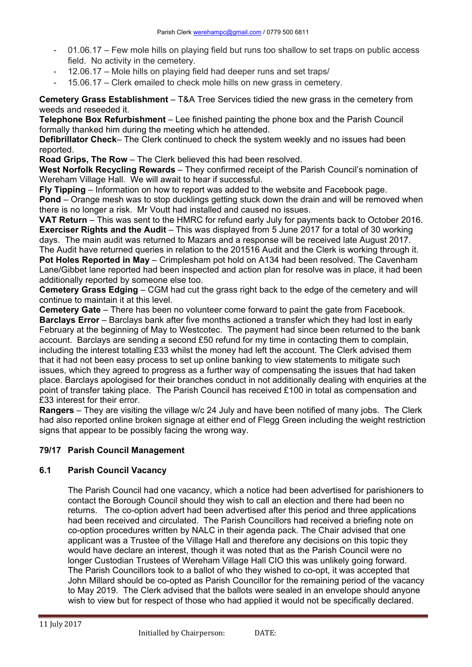- 01.06.17 Few mole hills on playing field but runs too shallow to set traps on public access field. No activity in the cemetery.
- 12.06.17 Mole hills on playing field had deeper runs and set traps/
- 15.06.17 Clerk emailed to check mole hills on new grass in cemetery.

**Cemetery Grass Establishment** – T&A Tree Services tidied the new grass in the cemetery from weeds and reseeded it.

**Telephone Box Refurbishment** – Lee finished painting the phone box and the Parish Council formally thanked him during the meeting which he attended.

**Defibrillator Check**– The Clerk continued to check the system weekly and no issues had been reported.

**Road Grips, The Row** – The Clerk believed this had been resolved.

**West Norfolk Recycling Rewards** – They confirmed receipt of the Parish Council's nomination of Wereham Village Hall. We will await to hear if successful.

**Fly Tipping** – Information on how to report was added to the website and Facebook page. **Pond** – Orange mesh was to stop ducklings getting stuck down the drain and will be removed when

there is no longer a risk. Mr Voutt had installed and caused no issues. **VAT Return** – This was sent to the HMRC for refund early July for payments back to October 2016. **Exerciser Rights and the Audit** – This was displayed from 5 June 2017 for a total of 30 working days. The main audit was returned to Mazars and a response will be received late August 2017.

The Audit have returned queries in relation to the 201516 Audit and the Clerk is working through it. **Pot Holes Reported in May** – Crimplesham pot hold on A134 had been resolved. The Cavenham Lane/Gibbet lane reported had been inspected and action plan for resolve was in place, it had been additionally reported by someone else too.

**Cemetery Grass Edging** – CGM had cut the grass right back to the edge of the cemetery and will continue to maintain it at this level.

**Cemetery Gate** – There has been no volunteer come forward to paint the gate from Facebook. **Barclays Error** – Barclays bank after five months actioned a transfer which they had lost in early February at the beginning of May to Westcotec. The payment had since been returned to the bank account. Barclays are sending a second £50 refund for my time in contacting them to complain, including the interest totalling £33 whilst the money had left the account. The Clerk advised them that it had not been easy process to set up online banking to view statements to mitigate such issues, which they agreed to progress as a further way of compensating the issues that had taken place. Barclays apologised for their branches conduct in not additionally dealing with enquiries at the point of transfer taking place. The Parish Council has received £100 in total as compensation and £33 interest for their error.

**Rangers** – They are visiting the village w/c 24 July and have been notified of many jobs. The Clerk had also reported online broken signage at either end of Flegg Green including the weight restriction signs that appear to be possibly facing the wrong way.

# **79/17 Parish Council Management**

### **6.1 Parish Council Vacancy**

The Parish Council had one vacancy, which a notice had been advertised for parishioners to contact the Borough Council should they wish to call an election and there had been no returns. The co-option advert had been advertised after this period and three applications had been received and circulated. The Parish Councillors had received a briefing note on co-option procedures written by NALC in their agenda pack. The Chair advised that one applicant was a Trustee of the Village Hall and therefore any decisions on this topic they would have declare an interest, though it was noted that as the Parish Council were no longer Custodian Trustees of Wereham Village Hall CIO this was unlikely going forward. The Parish Councillors took to a ballot of who they wished to co-opt, it was accepted that John Millard should be co-opted as Parish Councillor for the remaining period of the vacancy to May 2019. The Clerk advised that the ballots were sealed in an envelope should anyone wish to view but for respect of those who had applied it would not be specifically declared.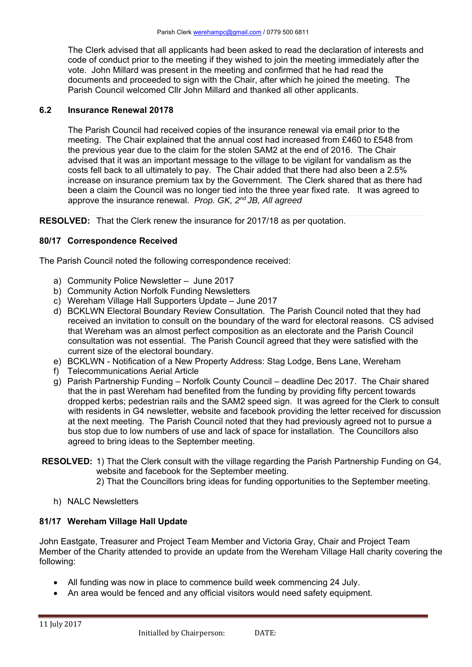The Clerk advised that all applicants had been asked to read the declaration of interests and code of conduct prior to the meeting if they wished to join the meeting immediately after the vote. John Millard was present in the meeting and confirmed that he had read the documents and proceeded to sign with the Chair, after which he joined the meeting. The Parish Council welcomed Cllr John Millard and thanked all other applicants.

### **6.2 Insurance Renewal 20178**

 The Parish Council had received copies of the insurance renewal via email prior to the meeting. The Chair explained that the annual cost had increased from £460 to £548 from the previous year due to the claim for the stolen SAM2 at the end of 2016. The Chair advised that it was an important message to the village to be vigilant for vandalism as the costs fell back to all ultimately to pay. The Chair added that there had also been a 2.5% increase on insurance premium tax by the Government. The Clerk shared that as there had been a claim the Council was no longer tied into the three year fixed rate. It was agreed to approve the insurance renewal. *Prop. GK, 2nd JB, All agreed*

**RESOLVED:** That the Clerk renew the insurance for 2017/18 as per quotation.

## **80/17 Correspondence Received**

The Parish Council noted the following correspondence received:

- a) Community Police Newsletter June 2017
- b) Community Action Norfolk Funding Newsletters
- c) Wereham Village Hall Supporters Update June 2017
- d) BCKLWN Electoral Boundary Review Consultation. The Parish Council noted that they had received an invitation to consult on the boundary of the ward for electoral reasons. CS advised that Wereham was an almost perfect composition as an electorate and the Parish Council consultation was not essential. The Parish Council agreed that they were satisfied with the current size of the electoral boundary.
- e) BCKLWN Notification of a New Property Address: Stag Lodge, Bens Lane, Wereham
- f) Telecommunications Aerial Article
- g) Parish Partnership Funding Norfolk County Council deadline Dec 2017. The Chair shared that the in past Wereham had benefited from the funding by providing fifty percent towards dropped kerbs; pedestrian rails and the SAM2 speed sign. It was agreed for the Clerk to consult with residents in G4 newsletter, website and facebook providing the letter received for discussion at the next meeting. The Parish Council noted that they had previously agreed not to pursue a bus stop due to low numbers of use and lack of space for installation. The Councillors also agreed to bring ideas to the September meeting.
- **RESOLVED:** 1) That the Clerk consult with the village regarding the Parish Partnership Funding on G4, website and facebook for the September meeting.
	- 2) That the Councillors bring ideas for funding opportunities to the September meeting.
	- h) NALC Newsletters

### **81/17 Wereham Village Hall Update**

John Eastgate, Treasurer and Project Team Member and Victoria Gray, Chair and Project Team Member of the Charity attended to provide an update from the Wereham Village Hall charity covering the following:

- All funding was now in place to commence build week commencing 24 July.
- An area would be fenced and any official visitors would need safety equipment.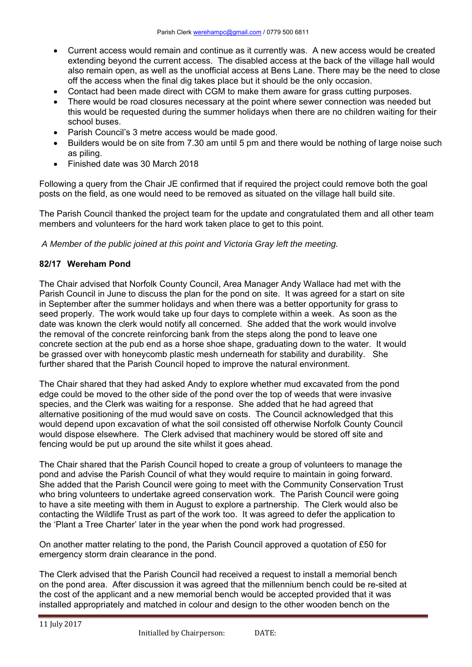- Current access would remain and continue as it currently was. A new access would be created extending beyond the current access. The disabled access at the back of the village hall would also remain open, as well as the unofficial access at Bens Lane. There may be the need to close off the access when the final dig takes place but it should be the only occasion.
- Contact had been made direct with CGM to make them aware for grass cutting purposes.
- There would be road closures necessary at the point where sewer connection was needed but this would be requested during the summer holidays when there are no children waiting for their school buses.
- Parish Council's 3 metre access would be made good.
- Builders would be on site from 7.30 am until 5 pm and there would be nothing of large noise such as piling.
- Finished date was 30 March 2018

Following a query from the Chair JE confirmed that if required the project could remove both the goal posts on the field, as one would need to be removed as situated on the village hall build site.

The Parish Council thanked the project team for the update and congratulated them and all other team members and volunteers for the hard work taken place to get to this point.

*A Member of the public joined at this point and Victoria Gray left the meeting.* 

### **82/17 Wereham Pond**

The Chair advised that Norfolk County Council, Area Manager Andy Wallace had met with the Parish Council in June to discuss the plan for the pond on site. It was agreed for a start on site in September after the summer holidays and when there was a better opportunity for grass to seed properly. The work would take up four days to complete within a week. As soon as the date was known the clerk would notify all concerned. She added that the work would involve the removal of the concrete reinforcing bank from the steps along the pond to leave one concrete section at the pub end as a horse shoe shape, graduating down to the water. It would be grassed over with honeycomb plastic mesh underneath for stability and durability. She further shared that the Parish Council hoped to improve the natural environment.

The Chair shared that they had asked Andy to explore whether mud excavated from the pond edge could be moved to the other side of the pond over the top of weeds that were invasive species, and the Clerk was waiting for a response. She added that he had agreed that alternative positioning of the mud would save on costs. The Council acknowledged that this would depend upon excavation of what the soil consisted off otherwise Norfolk County Council would dispose elsewhere. The Clerk advised that machinery would be stored off site and fencing would be put up around the site whilst it goes ahead.

The Chair shared that the Parish Council hoped to create a group of volunteers to manage the pond and advise the Parish Council of what they would require to maintain in going forward. She added that the Parish Council were going to meet with the Community Conservation Trust who bring volunteers to undertake agreed conservation work. The Parish Council were going to have a site meeting with them in August to explore a partnership. The Clerk would also be contacting the Wildlife Trust as part of the work too. It was agreed to defer the application to the 'Plant a Tree Charter' later in the year when the pond work had progressed.

On another matter relating to the pond, the Parish Council approved a quotation of £50 for emergency storm drain clearance in the pond.

The Clerk advised that the Parish Council had received a request to install a memorial bench on the pond area. After discussion it was agreed that the millennium bench could be re-sited at the cost of the applicant and a new memorial bench would be accepted provided that it was installed appropriately and matched in colour and design to the other wooden bench on the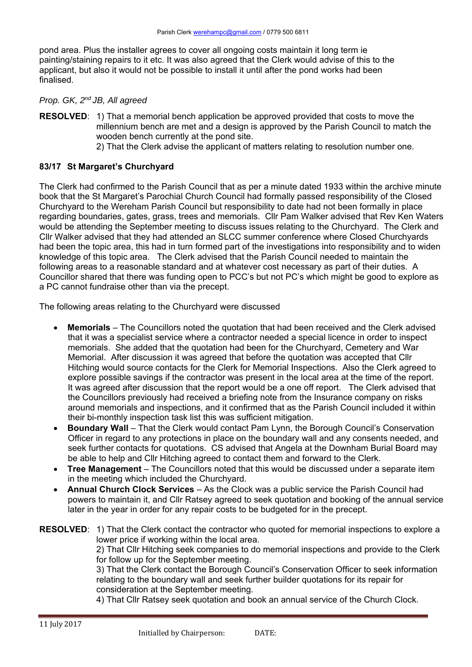pond area. Plus the installer agrees to cover all ongoing costs maintain it long term ie painting/staining repairs to it etc. It was also agreed that the Clerk would advise of this to the applicant, but also it would not be possible to install it until after the pond works had been finalised.

### *Prop. GK, 2nd JB, All agreed*

**RESOLVED:** 1) That a memorial bench application be approved provided that costs to move the millennium bench are met and a design is approved by the Parish Council to match the wooden bench currently at the pond site.

2) That the Clerk advise the applicant of matters relating to resolution number one.

### **83/17 St Margaret's Churchyard**

The Clerk had confirmed to the Parish Council that as per a minute dated 1933 within the archive minute book that the St Margaret's Parochial Church Council had formally passed responsibility of the Closed Churchyard to the Wereham Parish Council but responsibility to date had not been formally in place regarding boundaries, gates, grass, trees and memorials. Cllr Pam Walker advised that Rev Ken Waters would be attending the September meeting to discuss issues relating to the Churchyard. The Clerk and Cllr Walker advised that they had attended an SLCC summer conference where Closed Churchyards had been the topic area, this had in turn formed part of the investigations into responsibility and to widen knowledge of this topic area. The Clerk advised that the Parish Council needed to maintain the following areas to a reasonable standard and at whatever cost necessary as part of their duties. A Councillor shared that there was funding open to PCC's but not PC's which might be good to explore as a PC cannot fundraise other than via the precept.

The following areas relating to the Churchyard were discussed

- **Memorials** The Councillors noted the quotation that had been received and the Clerk advised that it was a specialist service where a contractor needed a special licence in order to inspect memorials. She added that the quotation had been for the Churchyard, Cemetery and War Memorial. After discussion it was agreed that before the quotation was accepted that Cllr Hitching would source contacts for the Clerk for Memorial Inspections. Also the Clerk agreed to explore possible savings if the contractor was present in the local area at the time of the report. It was agreed after discussion that the report would be a one off report. The Clerk advised that the Councillors previously had received a briefing note from the Insurance company on risks around memorials and inspections, and it confirmed that as the Parish Council included it within their bi-monthly inspection task list this was sufficient mitigation.
- **Boundary Wall** That the Clerk would contact Pam Lynn, the Borough Council's Conservation Officer in regard to any protections in place on the boundary wall and any consents needed, and seek further contacts for quotations. CS advised that Angela at the Downham Burial Board may be able to help and Cllr Hitching agreed to contact them and forward to the Clerk.
- **Tree Management** The Councillors noted that this would be discussed under a separate item in the meeting which included the Churchyard.
- **Annual Church Clock Services**  As the Clock was a public service the Parish Council had powers to maintain it, and Cllr Ratsey agreed to seek quotation and booking of the annual service later in the year in order for any repair costs to be budgeted for in the precept.

**RESOLVED:** 1) That the Clerk contact the contractor who quoted for memorial inspections to explore a lower price if working within the local area. 2) That Cllr Hitching seek companies to do memorial inspections and provide to the Clerk

for follow up for the September meeting. 3) That the Clerk contact the Borough Council's Conservation Officer to seek information

relating to the boundary wall and seek further builder quotations for its repair for consideration at the September meeting.

4) That Cllr Ratsey seek quotation and book an annual service of the Church Clock.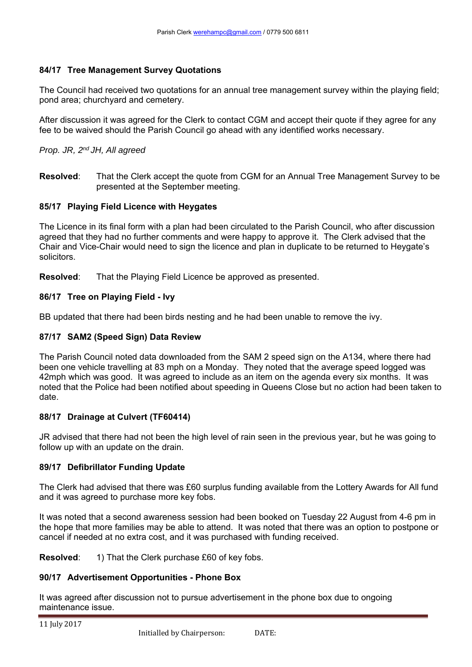### **84/17 Tree Management Survey Quotations**

The Council had received two quotations for an annual tree management survey within the playing field; pond area; churchyard and cemetery.

After discussion it was agreed for the Clerk to contact CGM and accept their quote if they agree for any fee to be waived should the Parish Council go ahead with any identified works necessary.

### *Prop. JR, 2nd JH, All agreed*

**Resolved**: That the Clerk accept the quote from CGM for an Annual Tree Management Survey to be presented at the September meeting.

## **85/17 Playing Field Licence with Heygates**

The Licence in its final form with a plan had been circulated to the Parish Council, who after discussion agreed that they had no further comments and were happy to approve it. The Clerk advised that the Chair and Vice-Chair would need to sign the licence and plan in duplicate to be returned to Heygate's solicitors.

**Resolved**: That the Playing Field Licence be approved as presented.

## **86/17 Tree on Playing Field - Ivy**

BB updated that there had been birds nesting and he had been unable to remove the ivy.

# **87/17 SAM2 (Speed Sign) Data Review**

The Parish Council noted data downloaded from the SAM 2 speed sign on the A134, where there had been one vehicle travelling at 83 mph on a Monday. They noted that the average speed logged was 42mph which was good. It was agreed to include as an item on the agenda every six months. It was noted that the Police had been notified about speeding in Queens Close but no action had been taken to date.

### **88/17 Drainage at Culvert (TF60414)**

JR advised that there had not been the high level of rain seen in the previous year, but he was going to follow up with an update on the drain.

### **89/17 Defibrillator Funding Update**

The Clerk had advised that there was £60 surplus funding available from the Lottery Awards for All fund and it was agreed to purchase more key fobs.

It was noted that a second awareness session had been booked on Tuesday 22 August from 4-6 pm in the hope that more families may be able to attend. It was noted that there was an option to postpone or cancel if needed at no extra cost, and it was purchased with funding received.

**Resolved:** 1) That the Clerk purchase £60 of key fobs.

### **90/17 Advertisement Opportunities - Phone Box**

It was agreed after discussion not to pursue advertisement in the phone box due to ongoing maintenance issue.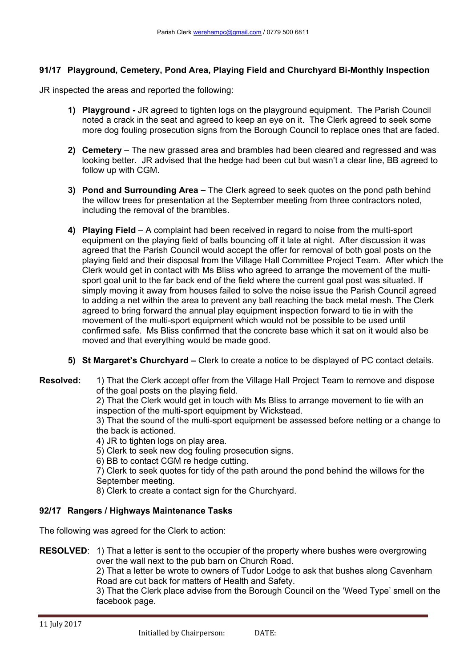# **91/17 Playground, Cemetery, Pond Area, Playing Field and Churchyard Bi-Monthly Inspection**

JR inspected the areas and reported the following:

- **1) Playground** JR agreed to tighten logs on the playground equipment. The Parish Council noted a crack in the seat and agreed to keep an eye on it. The Clerk agreed to seek some more dog fouling prosecution signs from the Borough Council to replace ones that are faded.
- **2) Cemetery**  The new grassed area and brambles had been cleared and regressed and was looking better. JR advised that the hedge had been cut but wasn't a clear line, BB agreed to follow up with CGM.
- **3) Pond and Surrounding Area** The Clerk agreed to seek quotes on the pond path behind the willow trees for presentation at the September meeting from three contractors noted, including the removal of the brambles.
- **4) Playing Field**  A complaint had been received in regard to noise from the multi-sport equipment on the playing field of balls bouncing off it late at night. After discussion it was agreed that the Parish Council would accept the offer for removal of both goal posts on the playing field and their disposal from the Village Hall Committee Project Team. After which the Clerk would get in contact with Ms Bliss who agreed to arrange the movement of the multisport goal unit to the far back end of the field where the current goal post was situated. If simply moving it away from houses failed to solve the noise issue the Parish Council agreed to adding a net within the area to prevent any ball reaching the back metal mesh. The Clerk agreed to bring forward the annual play equipment inspection forward to tie in with the movement of the multi-sport equipment which would not be possible to be used until confirmed safe. Ms Bliss confirmed that the concrete base which it sat on it would also be moved and that everything would be made good.
- **5) St Margaret's Churchyard** Clerk to create a notice to be displayed of PC contact details.
- **Resolved:** 1) That the Clerk accept offer from the Village Hall Project Team to remove and dispose of the goal posts on the playing field.

2) That the Clerk would get in touch with Ms Bliss to arrange movement to tie with an inspection of the multi-sport equipment by Wickstead.

 3) That the sound of the multi-sport equipment be assessed before netting or a change to the back is actioned.

4) JR to tighten logs on play area.

5) Clerk to seek new dog fouling prosecution signs.

6) BB to contact CGM re hedge cutting.

 7) Clerk to seek quotes for tidy of the path around the pond behind the willows for the September meeting.

8) Clerk to create a contact sign for the Churchyard.

### **92/17 Rangers / Highways Maintenance Tasks**

The following was agreed for the Clerk to action:

**RESOLVED:** 1) That a letter is sent to the occupier of the property where bushes were overgrowing over the wall next to the pub barn on Church Road.

> 2) That a letter be wrote to owners of Tudor Lodge to ask that bushes along Cavenham Road are cut back for matters of Health and Safety.

3) That the Clerk place advise from the Borough Council on the 'Weed Type' smell on the facebook page.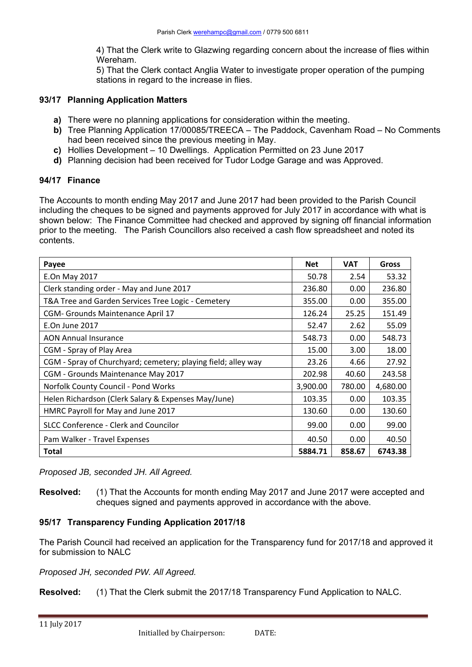4) That the Clerk write to Glazwing regarding concern about the increase of flies within Wereham.

5) That the Clerk contact Anglia Water to investigate proper operation of the pumping stations in regard to the increase in flies.

#### **93/17 Planning Application Matters**

- **a)** There were no planning applications for consideration within the meeting.
- **b)** Tree Planning Application 17/00085/TREECA The Paddock, Cavenham Road No Comments had been received since the previous meeting in May.
- **c)** Hollies Development 10 Dwellings. Application Permitted on 23 June 2017
- **d)** Planning decision had been received for Tudor Lodge Garage and was Approved.

#### **94/17 Finance**

The Accounts to month ending May 2017 and June 2017 had been provided to the Parish Council including the cheques to be signed and payments approved for July 2017 in accordance with what is shown below: The Finance Committee had checked and approved by signing off financial information prior to the meeting. The Parish Councillors also received a cash flow spreadsheet and noted its contents.

| Payee                                                         | <b>Net</b> | <b>VAT</b> | <b>Gross</b> |
|---------------------------------------------------------------|------------|------------|--------------|
| E.On May 2017                                                 | 50.78      | 2.54       | 53.32        |
| Clerk standing order - May and June 2017                      | 236.80     | 0.00       | 236.80       |
| T&A Tree and Garden Services Tree Logic - Cemetery            | 355.00     | 0.00       | 355.00       |
| CGM- Grounds Maintenance April 17                             | 126.24     | 25.25      | 151.49       |
| E.On June 2017                                                | 52.47      | 2.62       | 55.09        |
| <b>AON Annual Insurance</b>                                   | 548.73     | 0.00       | 548.73       |
| CGM - Spray of Play Area                                      | 15.00      | 3.00       | 18.00        |
| CGM - Spray of Churchyard; cemetery; playing field; alley way | 23.26      | 4.66       | 27.92        |
| CGM - Grounds Maintenance May 2017                            | 202.98     | 40.60      | 243.58       |
| Norfolk County Council - Pond Works                           |            | 780.00     | 4,680.00     |
| Helen Richardson (Clerk Salary & Expenses May/June)           | 103.35     | 0.00       | 103.35       |
| HMRC Payroll for May and June 2017                            | 130.60     | 0.00       | 130.60       |
| SLCC Conference - Clerk and Councilor                         | 99.00      | 0.00       | 99.00        |
| Pam Walker - Travel Expenses                                  |            | 0.00       | 40.50        |
| <b>Total</b>                                                  |            | 858.67     | 6743.38      |

*Proposed JB, seconded JH. All Agreed.* 

**Resolved:** (1) That the Accounts for month ending May 2017 and June 2017 were accepted and cheques signed and payments approved in accordance with the above.

### **95/17 Transparency Funding Application 2017/18**

The Parish Council had received an application for the Transparency fund for 2017/18 and approved it for submission to NALC

*Proposed JH, seconded PW. All Agreed.* 

**Resolved:** (1) That the Clerk submit the 2017/18 Transparency Fund Application to NALC.